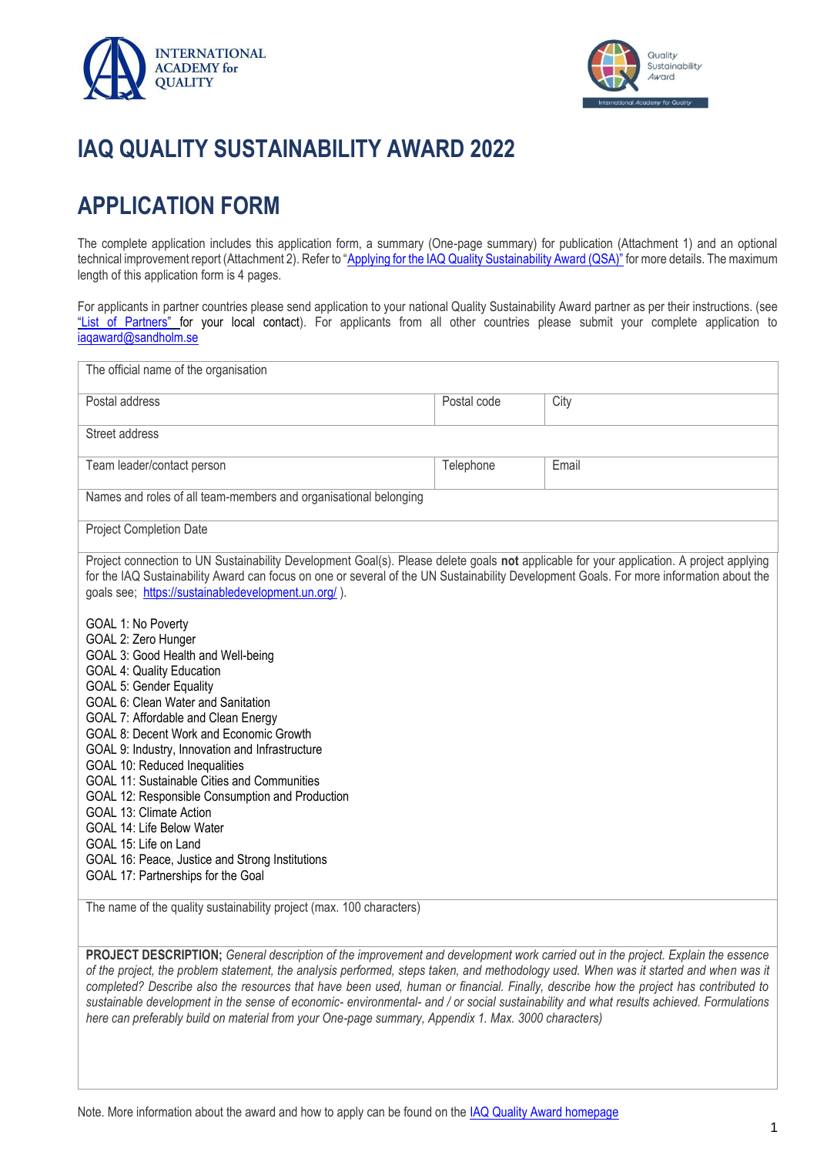



# **IAQ QUALITY SUSTAINABILITY AWARD 2022**

# **APPLICATION FORM**

The complete application includes this application form, a summary (One-page summary) for publication (Attachment 1) and an optional technical improvement report (Attachment 2). Refer to ["Applying for the IAQ Quality Sustainability Award \(QSA\)"](http://iaqaward.com/applying-for-the-iaq-quality-sustainability-award) for more details. The maximum length of this application form is 4 pages.

For applicants in partner countries please send application to your national Quality Sustainability Award partner as per their instructions. (see "[List of Partners](http://iaqaward.com/list-of-partners)" for your local contact). For applicants from all other countries please submit your complete application to [iaqaward@sandholm.se](mailto:iaqaward@sandholm.se)

| The official name of the organisation                                                                                                                                                                                                                                                                                                                                                                                                                                                                                                                                                                                                                                                                                                                                                                                                                                                                                                                                                                                                                                      |             |       |
|----------------------------------------------------------------------------------------------------------------------------------------------------------------------------------------------------------------------------------------------------------------------------------------------------------------------------------------------------------------------------------------------------------------------------------------------------------------------------------------------------------------------------------------------------------------------------------------------------------------------------------------------------------------------------------------------------------------------------------------------------------------------------------------------------------------------------------------------------------------------------------------------------------------------------------------------------------------------------------------------------------------------------------------------------------------------------|-------------|-------|
| Postal address                                                                                                                                                                                                                                                                                                                                                                                                                                                                                                                                                                                                                                                                                                                                                                                                                                                                                                                                                                                                                                                             | Postal code | City  |
| Street address                                                                                                                                                                                                                                                                                                                                                                                                                                                                                                                                                                                                                                                                                                                                                                                                                                                                                                                                                                                                                                                             |             |       |
| Team leader/contact person                                                                                                                                                                                                                                                                                                                                                                                                                                                                                                                                                                                                                                                                                                                                                                                                                                                                                                                                                                                                                                                 | Telephone   | Email |
| Names and roles of all team-members and organisational belonging                                                                                                                                                                                                                                                                                                                                                                                                                                                                                                                                                                                                                                                                                                                                                                                                                                                                                                                                                                                                           |             |       |
| <b>Project Completion Date</b>                                                                                                                                                                                                                                                                                                                                                                                                                                                                                                                                                                                                                                                                                                                                                                                                                                                                                                                                                                                                                                             |             |       |
| Project connection to UN Sustainability Development Goal(s). Please delete goals not applicable for your application. A project applying<br>for the IAQ Sustainability Award can focus on one or several of the UN Sustainability Development Goals. For more information about the<br>goals see; https://sustainabledevelopment.un.org/).<br>GOAL 1: No Poverty<br>GOAL 2: Zero Hunger<br>GOAL 3: Good Health and Well-being<br><b>GOAL 4: Quality Education</b><br><b>GOAL 5: Gender Equality</b><br>GOAL 6: Clean Water and Sanitation<br>GOAL 7: Affordable and Clean Energy<br>GOAL 8: Decent Work and Economic Growth<br>GOAL 9: Industry, Innovation and Infrastructure<br>GOAL 10: Reduced Inequalities<br>GOAL 11: Sustainable Cities and Communities<br>GOAL 12: Responsible Consumption and Production<br><b>GOAL 13: Climate Action</b><br>GOAL 14: Life Below Water<br>GOAL 15: Life on Land<br>GOAL 16: Peace, Justice and Strong Institutions<br>GOAL 17: Partnerships for the Goal<br>The name of the quality sustainability project (max. 100 characters) |             |       |
| PROJECT DESCRIPTION; General description of the improvement and development work carried out in the project. Explain the essence<br>of the project, the problem statement, the analysis performed, steps taken, and methodology used. When was it started and when was it                                                                                                                                                                                                                                                                                                                                                                                                                                                                                                                                                                                                                                                                                                                                                                                                  |             |       |

of the project, the problem statement, the analysis performed, steps taken, and methodology used. When was it started and when was it *completed? Describe also the resources that have been used, human or financial. Finally, describe how the project has contributed to sustainable development in the sense of economic- environmental- and / or social sustainability and what results achieved. Formulations here can preferably build on material from your One-page summary, Appendix 1. Max. 3000 characters)*